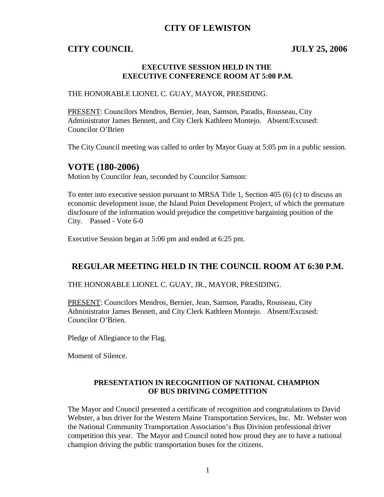# **CITY OF LEWISTON**

## **CITY COUNCIL JULY 25, 2006**

#### **EXECUTIVE SESSION HELD IN THE EXECUTIVE CONFERENCE ROOM AT 5:00 P.M.**

#### THE HONORABLE LIONEL C. GUAY, MAYOR, PRESIDING.

PRESENT: Councilors Mendros, Bernier, Jean, Samson, Paradis, Rousseau, City Administrator James Bennett, and City Clerk Kathleen Montejo. Absent/Excused: Councilor O'Brien

The City Council meeting was called to order by Mayor Guay at 5:05 pm in a public session.

# **VOTE (180-2006)**

Motion by Councilor Jean, seconded by Councilor Samson:

To enter into executive session pursuant to MRSA Title 1, Section 405 (6) (c) to discuss an economic development issue, the Island Point Development Project, of which the premature disclosure of the information would prejudice the competitive bargaining position of the City. Passed - Vote 6-0

Executive Session began at 5:06 pm and ended at 6:25 pm.

# **REGULAR MEETING HELD IN THE COUNCIL ROOM AT 6:30 P.M.**

THE HONORABLE LIONEL C. GUAY, JR., MAYOR, PRESIDING.

PRESENT: Councilors Mendros, Bernier, Jean, Samson, Paradis, Rousseau, City Administrator James Bennett, and City Clerk Kathleen Montejo. Absent/Excused: Councilor O'Brien.

Pledge of Allegiance to the Flag.

Moment of Silence.

#### **PRESENTATION IN RECOGNITION OF NATIONAL CHAMPION OF BUS DRIVING COMPETITION**

The Mayor and Council presented a certificate of recognition and congratulations to David Webster, a bus driver for the Western Maine Transportation Services, Inc. Mr. Webster won the National Community Transportation Association's Bus Division professional driver competition this year. The Mayor and Council noted how proud they are to have a national champion driving the public transportation buses for the citizens.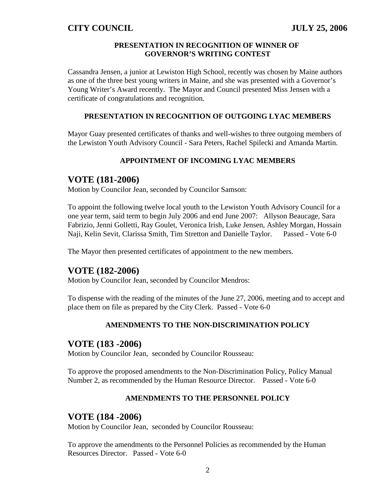#### **PRESENTATION IN RECOGNITION OF WINNER OF GOVERNOR'S WRITING CONTEST**

Cassandra Jensen, a junior at Lewiston High School, recently was chosen by Maine authors as one of the three best young writers in Maine, and she was presented with a Governor's Young Writer's Award recently. The Mayor and Council presented Miss Jensen with a certificate of congratulations and recognition.

## **PRESENTATION IN RECOGNITION OF OUTGOING LYAC MEMBERS**

Mayor Guay presented certificates of thanks and well-wishes to three outgoing members of the Lewiston Youth Advisory Council - Sara Peters, Rachel Spilecki and Amanda Martin.

## **APPOINTMENT OF INCOMING LYAC MEMBERS**

# **VOTE (181-2006)**

Motion by Councilor Jean, seconded by Councilor Samson:

To appoint the following twelve local youth to the Lewiston Youth Advisory Council for a one year term, said term to begin July 2006 and end June 2007: Allyson Beaucage, Sara Fabrizio, Jenni Golletti, Ray Goulet, Veronica Irish, Luke Jensen, Ashley Morgan, Hossain Naji, Kelin Sevit, Clarissa Smith, Tim Stretton and Danielle Taylor. Passed - Vote 6-0

The Mayor then presented certificates of appointment to the new members.

## **VOTE (182-2006)**

Motion by Councilor Jean, seconded by Councilor Mendros:

To dispense with the reading of the minutes of the June 27, 2006, meeting and to accept and place them on file as prepared by the City Clerk. Passed - Vote 6-0

#### **AMENDMENTS TO THE NON-DISCRIMINATION POLICY**

## **VOTE (183 -2006)**

Motion by Councilor Jean, seconded by Councilor Rousseau:

To approve the proposed amendments to the Non-Discrimination Policy, Policy Manual Number 2, as recommended by the Human Resource Director. Passed - Vote 6-0

#### **AMENDMENTS TO THE PERSONNEL POLICY**

## **VOTE (184 -2006)**

Motion by Councilor Jean, seconded by Councilor Rousseau:

To approve the amendments to the Personnel Policies as recommended by the Human Resources Director. Passed - Vote 6-0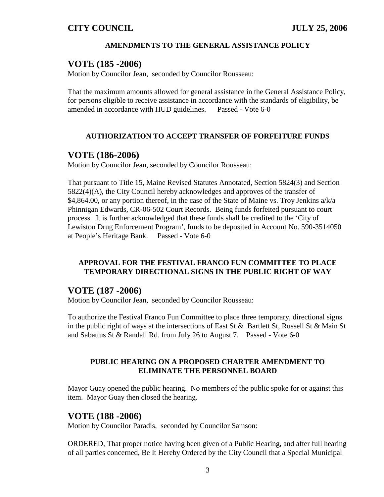#### **AMENDMENTS TO THE GENERAL ASSISTANCE POLICY**

## **VOTE (185 -2006)**

Motion by Councilor Jean, seconded by Councilor Rousseau:

That the maximum amounts allowed for general assistance in the General Assistance Policy, for persons eligible to receive assistance in accordance with the standards of eligibility, be amended in accordance with HUD guidelines. Passed - Vote 6-0

## **AUTHORIZATION TO ACCEPT TRANSFER OF FORFEITURE FUNDS**

## **VOTE (186-2006)**

Motion by Councilor Jean, seconded by Councilor Rousseau:

That pursuant to Title 15, Maine Revised Statutes Annotated, Section 5824(3) and Section 5822(4)(A), the City Council hereby acknowledges and approves of the transfer of \$4,864.00, or any portion thereof, in the case of the State of Maine vs. Troy Jenkins a/k/a Phinnigan Edwards, CR-06-502 Court Records. Being funds forfeited pursuant to court process. It is further acknowledged that these funds shall be credited to the 'City of Lewiston Drug Enforcement Program', funds to be deposited in Account No. 590-3514050 at People's Heritage Bank. Passed - Vote 6-0

## **APPROVAL FOR THE FESTIVAL FRANCO FUN COMMITTEE TO PLACE TEMPORARY DIRECTIONAL SIGNS IN THE PUBLIC RIGHT OF WAY**

# **VOTE (187 -2006)**

Motion by Councilor Jean, seconded by Councilor Rousseau:

To authorize the Festival Franco Fun Committee to place three temporary, directional signs in the public right of ways at the intersections of East St & Bartlett St, Russell St & Main St and Sabattus St & Randall Rd. from July 26 to August 7. Passed - Vote 6-0

## **PUBLIC HEARING ON A PROPOSED CHARTER AMENDMENT TO ELIMINATE THE PERSONNEL BOARD**

Mayor Guay opened the public hearing. No members of the public spoke for or against this item. Mayor Guay then closed the hearing.

## **VOTE (188 -2006)**

Motion by Councilor Paradis, seconded by Councilor Samson:

ORDERED, That proper notice having been given of a Public Hearing, and after full hearing of all parties concerned, Be It Hereby Ordered by the City Council that a Special Municipal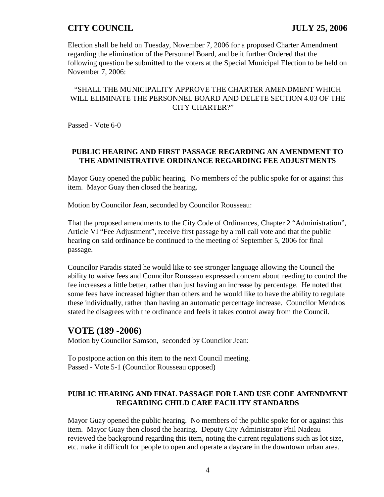Election shall be held on Tuesday, November 7, 2006 for a proposed Charter Amendment regarding the elimination of the Personnel Board, and be it further Ordered that the following question be submitted to the voters at the Special Municipal Election to be held on November 7, 2006:

## "SHALL THE MUNICIPALITY APPROVE THE CHARTER AMENDMENT WHICH WILL ELIMINATE THE PERSONNEL BOARD AND DELETE SECTION 4.03 OF THE CITY CHARTER?"

Passed - Vote 6-0

## **PUBLIC HEARING AND FIRST PASSAGE REGARDING AN AMENDMENT TO THE ADMINISTRATIVE ORDINANCE REGARDING FEE ADJUSTMENTS**

Mayor Guay opened the public hearing. No members of the public spoke for or against this item. Mayor Guay then closed the hearing.

Motion by Councilor Jean, seconded by Councilor Rousseau:

That the proposed amendments to the City Code of Ordinances, Chapter 2 "Administration", Article VI "Fee Adjustment", receive first passage by a roll call vote and that the public hearing on said ordinance be continued to the meeting of September 5, 2006 for final passage.

Councilor Paradis stated he would like to see stronger language allowing the Council the ability to waive fees and Councilor Rousseau expressed concern about needing to control the fee increases a little better, rather than just having an increase by percentage. He noted that some fees have increased higher than others and he would like to have the ability to regulate these individually, rather than having an automatic percentage increase. Councilor Mendros stated he disagrees with the ordinance and feels it takes control away from the Council.

# **VOTE (189 -2006)**

Motion by Councilor Samson, seconded by Councilor Jean:

To postpone action on this item to the next Council meeting. Passed - Vote 5-1 (Councilor Rousseau opposed)

## **PUBLIC HEARING AND FINAL PASSAGE FOR LAND USE CODE AMENDMENT REGARDING CHILD CARE FACILITY STANDARDS**

Mayor Guay opened the public hearing. No members of the public spoke for or against this item. Mayor Guay then closed the hearing. Deputy City Administrator Phil Nadeau reviewed the background regarding this item, noting the current regulations such as lot size, etc. make it difficult for people to open and operate a daycare in the downtown urban area.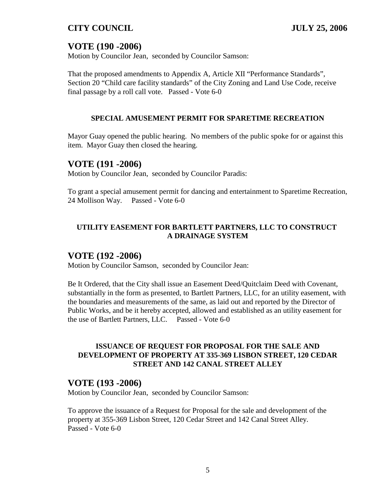# **VOTE (190 -2006)**

Motion by Councilor Jean, seconded by Councilor Samson:

That the proposed amendments to Appendix A, Article XII "Performance Standards", Section 20 "Child care facility standards" of the City Zoning and Land Use Code, receive final passage by a roll call vote. Passed - Vote 6-0

#### **SPECIAL AMUSEMENT PERMIT FOR SPARETIME RECREATION**

Mayor Guay opened the public hearing. No members of the public spoke for or against this item. Mayor Guay then closed the hearing.

## **VOTE (191 -2006)**

Motion by Councilor Jean, seconded by Councilor Paradis:

To grant a special amusement permit for dancing and entertainment to Sparetime Recreation, 24 Mollison Way. Passed - Vote 6-0

## **UTILITY EASEMENT FOR BARTLETT PARTNERS, LLC TO CONSTRUCT A DRAINAGE SYSTEM**

# **VOTE (192 -2006)**

Motion by Councilor Samson, seconded by Councilor Jean:

Be It Ordered, that the City shall issue an Easement Deed/Quitclaim Deed with Covenant, substantially in the form as presented, to Bartlett Partners, LLC, for an utility easement, with the boundaries and measurements of the same, as laid out and reported by the Director of Public Works, and be it hereby accepted, allowed and established as an utility easement for the use of Bartlett Partners, LLC. Passed - Vote 6-0

## **ISSUANCE OF REQUEST FOR PROPOSAL FOR THE SALE AND DEVELOPMENT OF PROPERTY AT 335-369 LISBON STREET, 120 CEDAR STREET AND 142 CANAL STREET ALLEY**

# **VOTE (193 -2006)**

Motion by Councilor Jean, seconded by Councilor Samson:

To approve the issuance of a Request for Proposal for the sale and development of the property at 355-369 Lisbon Street, 120 Cedar Street and 142 Canal Street Alley. Passed - Vote 6-0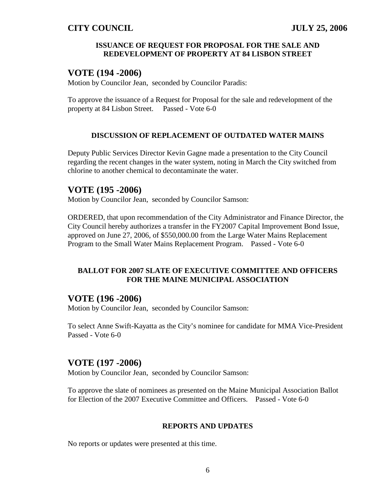#### **ISSUANCE OF REQUEST FOR PROPOSAL FOR THE SALE AND REDEVELOPMENT OF PROPERTY AT 84 LISBON STREET**

# **VOTE (194 -2006)**

Motion by Councilor Jean, seconded by Councilor Paradis:

To approve the issuance of a Request for Proposal for the sale and redevelopment of the property at 84 Lisbon Street. Passed - Vote 6-0

## **DISCUSSION OF REPLACEMENT OF OUTDATED WATER MAINS**

Deputy Public Services Director Kevin Gagne made a presentation to the City Council regarding the recent changes in the water system, noting in March the City switched from chlorine to another chemical to decontaminate the water.

# **VOTE (195 -2006)**

Motion by Councilor Jean, seconded by Councilor Samson:

ORDERED, that upon recommendation of the City Administrator and Finance Director, the City Council hereby authorizes a transfer in the FY2007 Capital Improvement Bond Issue, approved on June 27, 2006, of \$550,000.00 from the Large Water Mains Replacement Program to the Small Water Mains Replacement Program. Passed - Vote 6-0

## **BALLOT FOR 2007 SLATE OF EXECUTIVE COMMITTEE AND OFFICERS FOR THE MAINE MUNICIPAL ASSOCIATION**

# **VOTE (196 -2006)**

Motion by Councilor Jean, seconded by Councilor Samson:

To select Anne Swift-Kayatta as the City's nominee for candidate for MMA Vice-President Passed - Vote 6-0

# **VOTE (197 -2006)**

Motion by Councilor Jean, seconded by Councilor Samson:

To approve the slate of nominees as presented on the Maine Municipal Association Ballot for Election of the 2007 Executive Committee and Officers. Passed - Vote 6-0

## **REPORTS AND UPDATES**

No reports or updates were presented at this time.